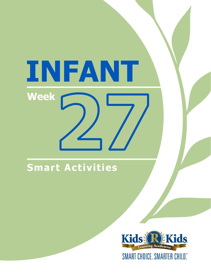# INFANT **Week**

# Smart Activities

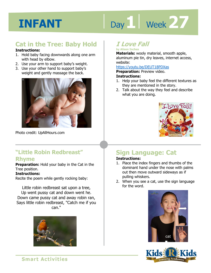# Day 1 | Week 27

# **Cat in the Tree: Baby Hold**

#### **Instructions:**

- 1. Hold baby facing downwards along one arm with head by elbow.
- 2. Use your arm to support baby's weight.
- 3. Use your other hand to support baby's weight and gently massage the back.



Photo credit: UpAllHours.com

## **"Little Robin Redbreast" Rhyme**

**Preparation:** Hold your baby in the Cat in the Tree position.

#### **Instructions:**

Recite the poem while gently rocking baby:

Little robin redbreast sat upon a tree, Up went pussy cat and down went he. Down came pussy cat and away robin ran, Says little robin redbreast, "Catch me if you can."



# **I Love Fall by Alison Inches**

aluminum pie tin, dry leaves, internet access,<br>website:<br>https://youtu.be/DEUT18PDXas **Materials:** wooly material, smooth apple, website:

#### https://youtu.be/DEUT18PDXas

**Preparation:** Preview video.

#### **Instructions:**

- 1. Help your baby feel the different textures as they are mentioned in the story.
- 2. Talk about the way they feel and describe what you are doing.



# **Sign Language: Cat**

### **Instructions:**

- 1. Place the index fingers and thumbs of the dominant hand under the nose with palms out then move outward sideways as if pulling whiskers.
- 2. When you see a cat, use the sign language for the word.





**Smart Activities**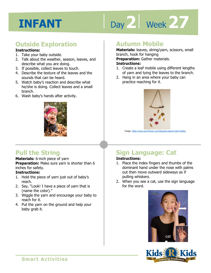# Day 2 | Week 27

# **Outside Exploration**

#### **Instructions:**

- 1. Take your baby outside.
- 2. Talk about the weather, season, leaves, and describe what you are doing.
- 3. If possible, collect leaves to touch.
- 4. Describe the texture of the leaves and the sounds that can be heard.
- 5. Watch baby's reaction and describe what he/she is doing. Collect leaves and a small branch.
- 6. Wash baby's hands after activity.



# **Autumn Mobile**

**Preparation:** Gather materials.<br>**Instructions:**<br>1. Create a leaf mobile using different lengths **Materials:** leaves, string/yarn, scissors, small branch, hook for hanging **Preparation:** Gather materials. **Instructions:** 

# of yarn and tying the leaves to the branch.

2. Hang in an area where your baby can practice reaching for it.



Image: https://www.

# **Pull the String**

#### **Materials:** 6-inch piece of yarn

**Preparation:** Make sure yarn is shorter than 6 inches for safety.

## **Instructions:**

- 1. Hold the piece of yarn just out of baby's reach.
- 2. Say, "Look! I have a piece of yarn that is (name the color)."
- 3. Wiggle the yarn and encourage your baby to reach for it.
- 4. Put the yarn on the ground and help your baby grab it.

# **Sign Language: Cat**

### **Instructions:**

- 1. Place the index fingers and thumbs of the dominant hand under the nose with palms out then move outward sideways as if pulling whiskers.
- 2. When you see a cat, use the sign language for the word.



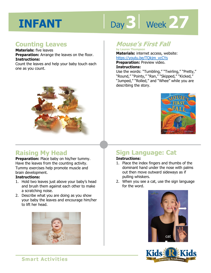# Day 3 | Week 27

## **Counting Leaves**

**Materials:** five leaves **Preparation:** Arrange the leaves on the floor. **Instructions:**  Count the leaves and help your baby touch each one as you count.



# **Raising My Head**

**Preparation:** Place baby on his/her tummy. Have the leaves from the counting activity. Tummy exercises help promote muscle and brain development.

#### **Instructions:**

- 1. Hold two leaves just above your baby's head and brush them against each other to make a scratching noise.
- 2. Describe what you are doing as you show your baby the leaves and encourage him/her to lift her head.



## **Mouse's First Fall**

**by Lauren Thompson Materials:** internet access, website: https://youtu.be/TQkjm\_vcCYs

**Preparation:** Preview video. **Instructions:** 

https://youtu.be/TQkjm\_vcCYs<br>**Preparation:** Preview video.<br>**Instructions:**<br>Use the words: "Tumbling," "Twirling," "Pretty," "Round," "Pointy," "Ran," "Skipped," "Kicked," "Jumped," "Rolled," and "Whee" while you are describing the story.



# **Sign Language: Cat**

### **Instructions:**

- 1. Place the index fingers and thumbs of the dominant hand under the nose with palms out then move outward sideways as if pulling whiskers.
- 2. When you see a cat, use the sign language for the word.





**Smart Activities**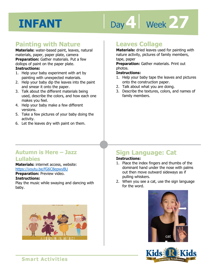# Day 4 Week 27

## **Painting with Nature**

**Materials:** water-based paint, leaves, natural materials, paper, paper plate, camera **Preparation:** Gather materials. Put a few dollops of paint on the paper plate.

#### **Instructions:**

- 1. Help your baby experiment with art by painting with unexpected materials.
- 2. Help your baby dip the leaves into the paint and smear it onto the paper.
- 3. Talk about the different materials being used, describe the colors, and how each one makes you feel.
- 4. Help your baby make a few different versions.
- 5. Take a few pictures of your baby doing the activity.
- 6. Let the leaves dry with paint on them.

## **Leaves Collage**

**Materials:** dried leaves used for painting with nature activity, pictures of family members, tape, paper

activity, pictures or ramily member<br>aper<br>**ation:** Gather materials. Print ou **Preparation:** Gather materials. Print out photos.

#### **Instructions:**

- 1. Help your baby tape the leaves and pictures onto the construction paper.
- 2. Talk about what you are doing.
- 3. Describe the textures, colors, and names of family members.

## **Autumn is Here – Jazz Lullabies**

#### **Materials:** internet access, website: https://youtu.be/fG6C8epwyBU

**Preparation:** Preview video.

#### **Instructions:**

Play the music while swaying and dancing with baby.



# **Sign Language: Cat**

### **Instructions:**

- 1. Place the index fingers and thumbs of the dominant hand under the nose with palms out then move outward sideways as if pulling whiskers.
- 2. When you see a cat, use the sign language for the word.